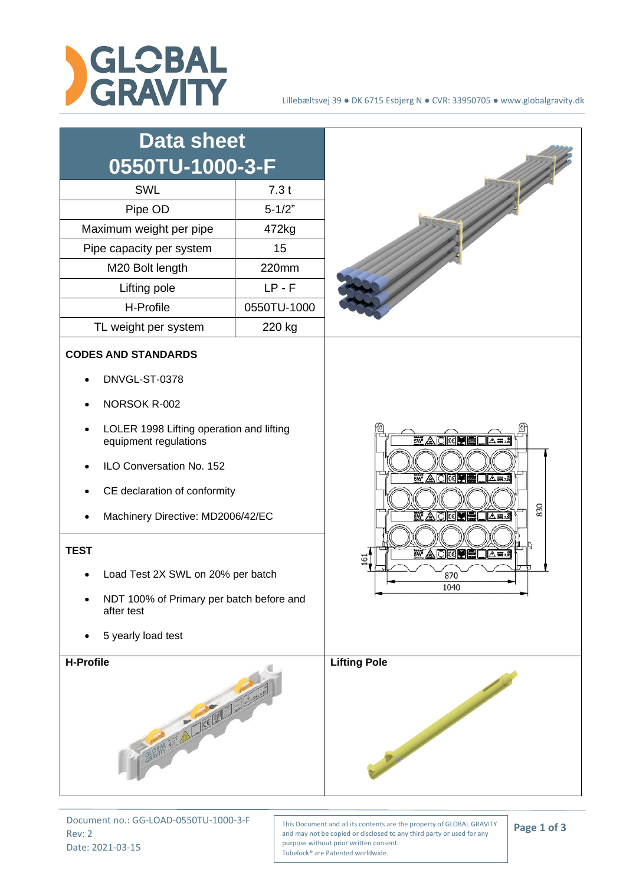

| <b>Data sheet</b><br>0550TU-1000-3-F<br><b>SWL</b><br>Pipe OD                                                                                                                                                                                                                                                                                   | 7.3t<br>$5 - 1/2"$ |                                                                                                                                                                   |
|-------------------------------------------------------------------------------------------------------------------------------------------------------------------------------------------------------------------------------------------------------------------------------------------------------------------------------------------------|--------------------|-------------------------------------------------------------------------------------------------------------------------------------------------------------------|
| Maximum weight per pipe                                                                                                                                                                                                                                                                                                                         | 472kg              |                                                                                                                                                                   |
| Pipe capacity per system                                                                                                                                                                                                                                                                                                                        | 15                 |                                                                                                                                                                   |
| M20 Bolt length                                                                                                                                                                                                                                                                                                                                 | 220mm              |                                                                                                                                                                   |
| Lifting pole                                                                                                                                                                                                                                                                                                                                    | $LP - F$           |                                                                                                                                                                   |
| H-Profile                                                                                                                                                                                                                                                                                                                                       | 0550TU-1000        |                                                                                                                                                                   |
| TL weight per system                                                                                                                                                                                                                                                                                                                            | 220 kg             |                                                                                                                                                                   |
| <b>CODES AND STANDARDS</b><br>DNVGL-ST-0378<br>NORSOK R-002<br>LOLER 1998 Lifting operation and lifting<br>equipment regulations<br>ILO Conversation No. 152<br>CE declaration of conformity<br>Machinery Directive: MD2006/42/EC<br><b>TEST</b><br>Load Test 2X SWL on 20% per batch<br>NDT 100% of Primary per batch before and<br>after test |                    | <b>WAOKUB</b><br>△藏<br>$5\%$ a diciple<br><b>A m</b> <sub>23</sub><br>830<br>$55'$ A O $\lceil$ C $\rceil$<br>Me<br>△赢?<br><b>WAOKINGDAWA</b><br>ة<br>870<br>1040 |
| <b>H-Profile</b><br>BRANCH 33 ALICENTER                                                                                                                                                                                                                                                                                                         |                    | <b>Lifting Pole</b><br>Contractor of the Contractor                                                                                                               |

Document no.: GG-LOAD-0550TU-1000-3-F Rev: 2 Date: 2021-03-15

This Document and all its contents are the property of GLOBAL GRAVITY and may not be copied or disclosed to any third party or used for any purpose without prior written consent. Tubelock® are Patented worldwide.

**Page 1 of 3**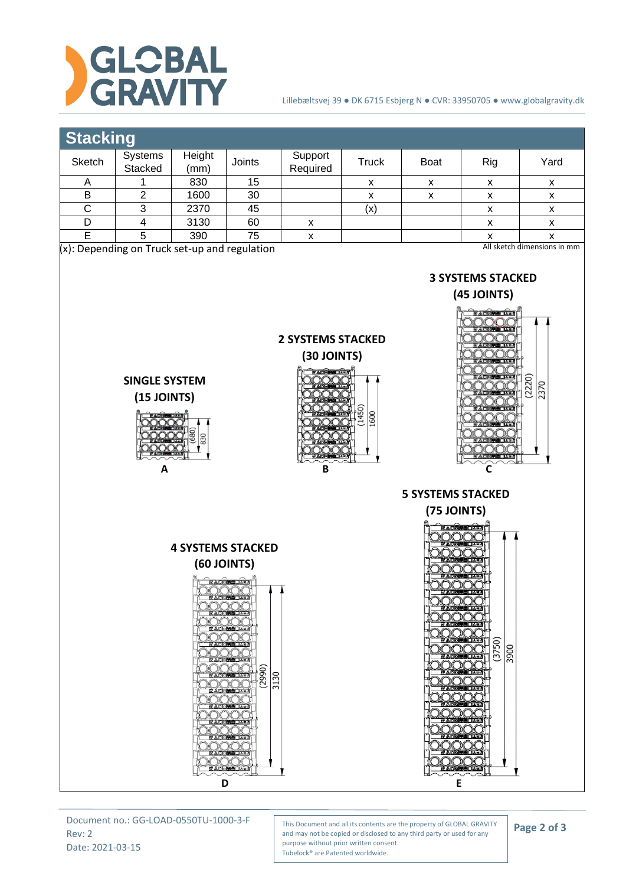

**SINGLE SYSTEM (15 JOINTS)**

830

#### Lillebæltsvej 39 ● DK 6715 Esbjerg N ● CVR: 33950705 ● www.globalgravity.dk

# **Stacking**

| Sketch                                                                          | Systems<br>Stacked | Height<br>(mm) | Joints | Support<br>Required | Truck | <b>Boat</b> | Rig | Yard |
|---------------------------------------------------------------------------------|--------------------|----------------|--------|---------------------|-------|-------------|-----|------|
|                                                                                 |                    | 830            | 15     |                     | х     | v           | х   | х    |
| в                                                                               |                    | 1600           | 30     |                     |       |             |     | х    |
|                                                                                 |                    | 2370           | 45     |                     | (x)   |             |     | х    |
|                                                                                 |                    | 3130           | 60     |                     |       |             |     |      |
|                                                                                 |                    | 390            | 75     |                     |       |             |     |      |
| All sketch dimensions in mm<br>$(x)$ : Depending on Truck set-up and regulation |                    |                |        |                     |       |             |     |      |

## **3 SYSTEMS STACKED**



**2 SYSTEMS STACKED (30 JOINTS)** 1450 **GOO** 





Document no.: GG-LOAD-0550TU-1000-3-F Rev: 2 Date: 2021-03-15

ADKU BOARD

This Document and all its contents are the property of GLOBAL GRAVITY and may not be copied or disclosed to any third party or used for any purpose without prior written consent. Tubelock® are Patented worldwide.

**D E** 

### **Page 2 of 3**